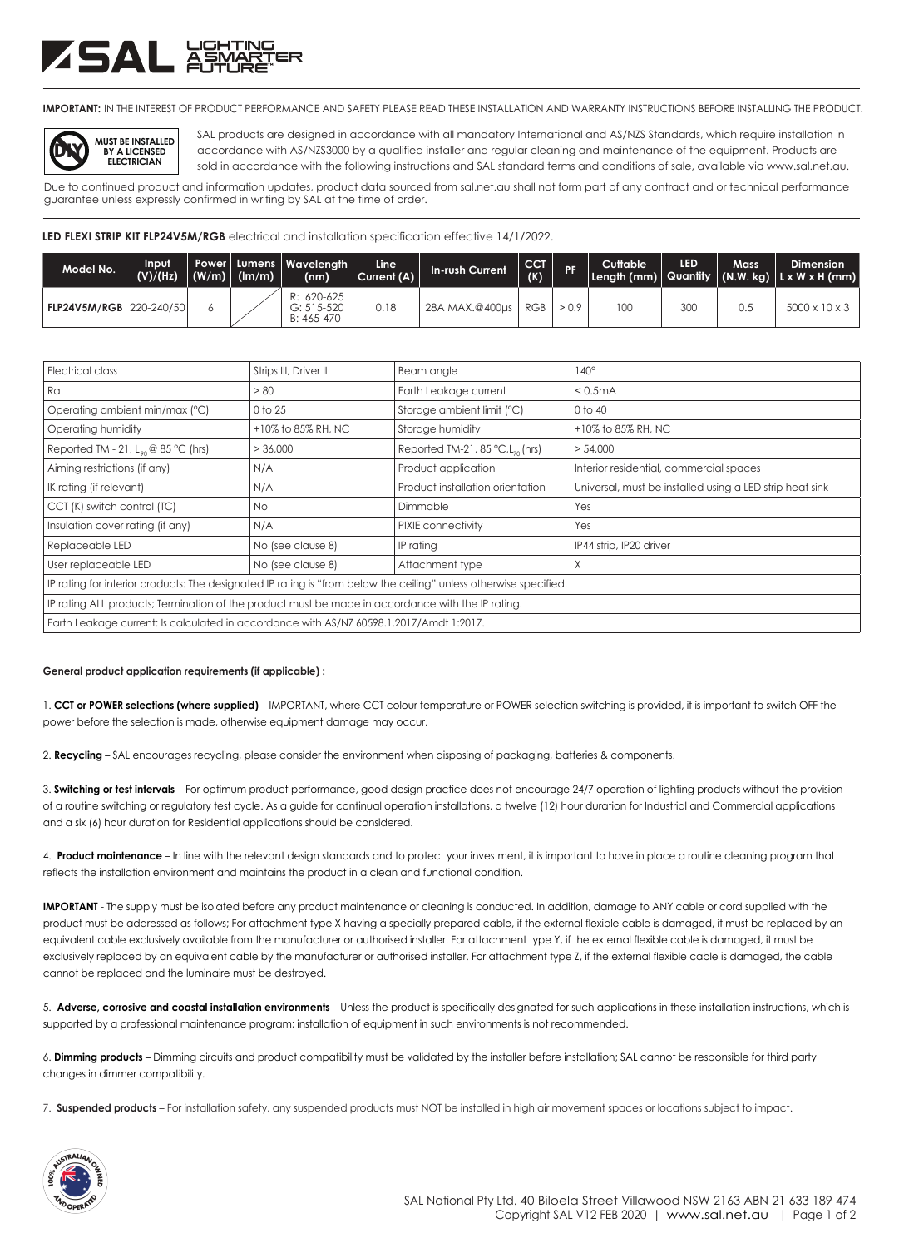## ZSAL ##

**IMPORTANT:** IN THE INTEREST OF PRODUCT PERFORMANCE AND SAFETY PLEASE READ THESE INSTALLATION AND WARRANTY INSTRUCTIONS BEFORE INSTALLING THE PRODUCT.



SAL products are designed in accordance with all mandatory International and AS/NZS Standards, which require installation in accordance with AS/NZS3000 by a qualified installer and regular cleaning and maintenance of the equipment. Products are sold in accordance with the following instructions and SAL standard terms and conditions of sale, available via www.sal.net.au.

Due to continued product and information updates, product data sourced from sal.net.au shall not form part of any contract and or technical performance guarantee unless expressly confirmed in writing by SAL at the time of order.

LED FLEXI STRIP KIT FLP24V5M/RGB electrical and installation specification effective 14/1/2022.

| Model No.                      | Input<br>(V)/(Hz) | $ (W/m) $ (lm/m) | Power   Lumens   Wavelenath  <br>(nm)      | Line I<br>Current (A) | In-rush Current | <b>CCT.</b><br>(K) | <b>PF</b> | Cuttable | LED | <b>Mass</b> | <b>Dimension</b><br>Length (mm) Quantity $ $ (N.W. kg) $ $ L x W x H (mm) |
|--------------------------------|-------------------|------------------|--------------------------------------------|-----------------------|-----------------|--------------------|-----------|----------|-----|-------------|---------------------------------------------------------------------------|
| <b>FLP24V5M/RGB 220-240/50</b> |                   |                  | R: 620-625<br>$G: 515 - 520$<br>B: 465-470 | 0.18                  | 28A MAX.@400us  | <b>RGB</b>         |           | 100      | 30C | 0.5         | $5000 \times 10 \times 3$                                                 |

| <b>Electrical class</b>                                                                                           | Strips III, Driver II | Beam angle                                      | $140^\circ$                                              |  |  |  |  |
|-------------------------------------------------------------------------------------------------------------------|-----------------------|-------------------------------------------------|----------------------------------------------------------|--|--|--|--|
| Ra                                                                                                                | > 80                  | Earth Leakage current                           | < 0.5mA                                                  |  |  |  |  |
| Operating ambient min/max (°C)                                                                                    | 0 to 25               | Storage ambient limit (°C)                      | 0 to 40                                                  |  |  |  |  |
| Operating humidity                                                                                                | +10% to 85% RH, NC    | Storage humidity                                | +10% to 85% RH, NC                                       |  |  |  |  |
| Reported TM - 21, $L_{so}$ @ 85 °C (hrs)                                                                          | > 36,000              | Reported TM-21, 85 $°C$ , L <sub>70</sub> (hrs) | > 54,000                                                 |  |  |  |  |
| Aiming restrictions (if any)                                                                                      | N/A                   | Product application                             | Interior residential, commercial spaces                  |  |  |  |  |
| IK rating (if relevant)                                                                                           | N/A                   | Product installation orientation                | Universal, must be installed using a LED strip heat sink |  |  |  |  |
| CCT (K) switch control (TC)                                                                                       | No.                   | Dimmable                                        | Yes                                                      |  |  |  |  |
| Insulation cover rating (if any)                                                                                  | N/A                   | PIXIE connectivity                              | Yes                                                      |  |  |  |  |
| Replaceable LED                                                                                                   | No (see clause 8)     | IP rating                                       | IP44 strip, IP20 driver                                  |  |  |  |  |
| User replaceable LED                                                                                              | No (see clause 8)     | Attachment type                                 | X                                                        |  |  |  |  |
| IP rating for interior products: The designated IP rating is "from below the ceiling" unless otherwise specified. |                       |                                                 |                                                          |  |  |  |  |
| IP rating ALL products; Termination of the product must be made in accordance with the IP rating.                 |                       |                                                 |                                                          |  |  |  |  |
| Earth Leakage current: Is calculated in accordance with AS/NZ 60598.1.2017/Amdt 1:2017.                           |                       |                                                 |                                                          |  |  |  |  |

## **General product application requirements (if applicable) :**

1. **CCT or POWER selections (where supplied)** – IMPORTANT, where CCT colour temperature or POWER selection switching is provided, it is important to switch OFF the power before the selection is made, otherwise equipment damage may occur.

2. **Recycling** – SAL encourages recycling, please consider the environment when disposing of packaging, batteries & components.

3. **Switching or test intervals** – For optimum product performance, good design practice does not encourage 24/7 operation of lighting products without the provision of a routine switching or regulatory test cycle. As a guide for continual operation installations, a twelve (12) hour duration for Industrial and Commercial applications and a six (6) hour duration for Residential applications should be considered.

4. **Product maintenance** – In line with the relevant design standards and to protect your investment, it is important to have in place a routine cleaning program that reflects the installation environment and maintains the product in a clean and functional condition.

**IMPORTANT** - The supply must be isolated before any product maintenance or cleaning is conducted. In addition, damage to ANY cable or cord supplied with the product must be addressed as follows; For attachment type X having a specially prepared cable, if the external flexible cable is damaged, it must be replaced by an equivalent cable exclusively available from the manufacturer or authorised installer. For attachment type Y, if the external flexible cable is damaged, it must be exclusively replaced by an equivalent cable by the manufacturer or authorised installer. For attachment type Z, if the external flexible cable is damaged, the cable cannot be replaced and the luminaire must be destroyed.

5. **Adverse, corrosive and coastal installation environments** – Unless the product is specifically designated for such applications in these installation instructions, which is supported by a professional maintenance program; installation of equipment in such environments is not recommended.

6. **Dimming products** – Dimming circuits and product compatibility must be validated by the installer before installation; SAL cannot be responsible for third party changes in dimmer compatibility.

7. **Suspended products** – For installation safety, any suspended products must NOT be installed in high air movement spaces or locations subject to impact.